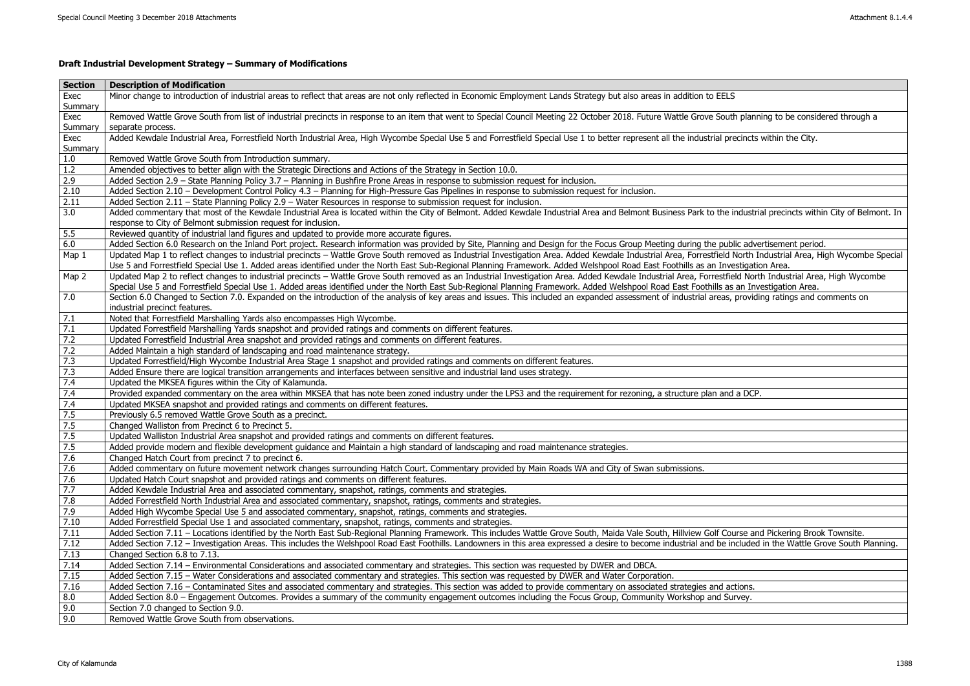## **Draft Industrial Development Strategy – Summary of Modifications**

| <b>Section</b>    | <b>Description of Modification</b>                                                                                                                                                                              |
|-------------------|-----------------------------------------------------------------------------------------------------------------------------------------------------------------------------------------------------------------|
| Exec              | Minor change to introduction of industrial areas to reflect that areas are not only reflected in Economic Employment Lands Strategy but also areas in addition to EELS                                          |
| Summary           |                                                                                                                                                                                                                 |
| Exec              | Removed Wattle Grove South from list of industrial precincts in response to an item that went to Special Council Meeting 22 October 2018. Future Wattle Grove South planning to be considered through a         |
| Summary           | separate process.                                                                                                                                                                                               |
| Exec              | Added Kewdale Industrial Area, Forrestfield North Industrial Area, High Wycombe Special Use 5 and Forrestfield Special Use 1 to better represent all the industrial precincts within the City.                  |
| Summary           |                                                                                                                                                                                                                 |
| 1.0               | Removed Wattle Grove South from Introduction summary.                                                                                                                                                           |
| 1.2               | Amended objectives to better align with the Strategic Directions and Actions of the Strategy in Section 10.0.                                                                                                   |
| 2.9               | Added Section 2.9 - State Planning Policy 3.7 - Planning in Bushfire Prone Areas in response to submission request for inclusion.                                                                               |
| 2.10              | Added Section 2.10 - Development Control Policy 4.3 - Planning for High-Pressure Gas Pipelines in response to submission request for inclusion.                                                                 |
| 2.11              | Added Section 2.11 - State Planning Policy 2.9 - Water Resources in response to submission request for inclusion.                                                                                               |
| 3.0               | Added commentary that most of the Kewdale Industrial Area is located within the City of Belmont. Added Kewdale Industrial Area and Belmont Business Park to the industrial precincts within City of Belmont. In |
|                   | response to City of Belmont submission request for inclusion.                                                                                                                                                   |
| 5.5               | Reviewed quantity of industrial land figures and updated to provide more accurate figures.                                                                                                                      |
| 6.0               | Added Section 6.0 Research on the Inland Port project. Research information was provided by Site, Planning and Design for the Focus Group Meeting during the public advertisement period.                       |
| Map 1             | Updated Map 1 to reflect changes to industrial precincts - Wattle Grove South removed as Industrial Investigation Area. Added Kewdale Industrial Area, Forrestfield North Industrial Area, High Wycombe Special |
|                   | Use 5 and Forrestfield Special Use 1. Added areas identified under the North East Sub-Regional Planning Framework. Added Welshpool Road East Foothills as an Investigation Area.                                |
| Map 2             | Updated Map 2 to reflect changes to industrial precincts - Wattle Grove South removed as an Industrial Investigation Area. Added Kewdale Industrial Area, Forrestfield North Industrial Area, High Wycombe      |
|                   | Special Use 5 and Forrestfield Special Use 1. Added areas identified under the North East Sub-Regional Planning Framework. Added Welshpool Road East Foothills as an Investigation Area.                        |
| 7.0               | Section 6.0 Changed to Section 7.0. Expanded on the introduction of the analysis of key areas and issues. This included an expanded assessment of industrial areas, providing ratings and comments on           |
|                   | industrial precinct features.                                                                                                                                                                                   |
| 7.1               | Noted that Forrestfield Marshalling Yards also encompasses High Wycombe.                                                                                                                                        |
| 7.1               | Updated Forrestfield Marshalling Yards snapshot and provided ratings and comments on different features.                                                                                                        |
| 7.2               | Updated Forrestfield Industrial Area snapshot and provided ratings and comments on different features.                                                                                                          |
| 7.2               | Added Maintain a high standard of landscaping and road maintenance strategy.                                                                                                                                    |
| 7.3               | Updated Forrestfield/High Wycombe Industrial Area Stage 1 snapshot and provided ratings and comments on different features.                                                                                     |
| $\overline{7.3}$  | Added Ensure there are logical transition arrangements and interfaces between sensitive and industrial land uses strategy.                                                                                      |
| 7.4               | Updated the MKSEA figures within the City of Kalamunda.                                                                                                                                                         |
| 7.4               | Provided expanded commentary on the area within MKSEA that has note been zoned industry under the LPS3 and the requirement for rezoning, a structure plan and a DCP.                                            |
| 7.4               | Updated MKSEA snapshot and provided ratings and comments on different features.                                                                                                                                 |
| 7.5               | Previously 6.5 removed Wattle Grove South as a precinct.                                                                                                                                                        |
| 7.5               | Changed Walliston from Precinct 6 to Precinct 5.                                                                                                                                                                |
| 7.5               | Updated Walliston Industrial Area snapshot and provided ratings and comments on different features.                                                                                                             |
| 7.5               | Added provide modern and flexible development guidance and Maintain a high standard of landscaping and road maintenance strategies.                                                                             |
| 7.6               | Changed Hatch Court from precinct 7 to precinct 6.                                                                                                                                                              |
| 7.6               | Added commentary on future movement network changes surrounding Hatch Court. Commentary provided by Main Roads WA and City of Swan submissions.                                                                 |
| 7.6               | Updated Hatch Court snapshot and provided ratings and comments on different features.                                                                                                                           |
| 7.7               | Added Kewdale Industrial Area and associated commentary, snapshot, ratings, comments and strategies.                                                                                                            |
| 7.8               | Added Forrestfield North Industrial Area and associated commentary, snapshot, ratings, comments and strategies.                                                                                                 |
| 7.9               | Added High Wycombe Special Use 5 and associated commentary, snapshot, ratings, comments and strategies.                                                                                                         |
| 7.10              | Added Forrestfield Special Use 1 and associated commentary, snapshot, ratings, comments and strategies.                                                                                                         |
| 7.11              | Added Section 7.11 - Locations identified by the North East Sub-Regional Planning Framework. This includes Wattle Grove South, Maida Vale South, Hillview Golf Course and Pickering Brook Townsite.             |
| 7.12              | Added Section 7.12 - Investigation Areas. This includes the Welshpool Road East Foothills. Landowners in this area expressed a desire to become industrial and be included in the Wattle Grove South Planning.  |
| 7.13              | Changed Section 6.8 to 7.13.                                                                                                                                                                                    |
| 7.14              | Added Section 7.14 - Environmental Considerations and associated commentary and strategies. This section was requested by DWER and DBCA.                                                                        |
| 7.15              | Added Section 7.15 - Water Considerations and associated commentary and strategies. This section was requested by DWER and Water Corporation.                                                                   |
| 7.16              | Added Section 7.16 - Contaminated Sites and associated commentary and strategies. This section was added to provide commentary on associated strategies and actions.                                            |
| 8.0               | Added Section 8.0 – Engagement Outcomes. Provides a summary of the community engagement outcomes including the Focus Group, Community Workshop and Survey.                                                      |
| $\vert 9.0 \vert$ | Section 7.0 changed to Section 9.0.                                                                                                                                                                             |
| $\vert 9.0 \vert$ | Removed Wattle Grove South from observations.                                                                                                                                                                   |

| h planning to be considered through a                            |
|------------------------------------------------------------------|
|                                                                  |
| ecincts within the City.                                         |
|                                                                  |
|                                                                  |
|                                                                  |
|                                                                  |
| ndustrial precincts within City of Belmont. In                   |
|                                                                  |
| lic advertisement period.                                        |
| North Industrial Area, High Wycombe Special<br>estigation Area.  |
| Id North Industrial Area, High Wycombe<br>an Investigation Area. |
| providing ratings and comments on                                |
|                                                                  |
|                                                                  |
|                                                                  |
|                                                                  |
|                                                                  |
|                                                                  |
| a DCP.                                                           |
|                                                                  |
|                                                                  |
|                                                                  |
|                                                                  |
|                                                                  |
|                                                                  |
|                                                                  |
|                                                                  |
|                                                                  |
|                                                                  |
| urse and Pickering Brook Townsite.                               |
| icluded in the Wattle Grove South Planning.                      |
|                                                                  |
|                                                                  |
|                                                                  |
| tions.                                                           |
| rvey.                                                            |
|                                                                  |